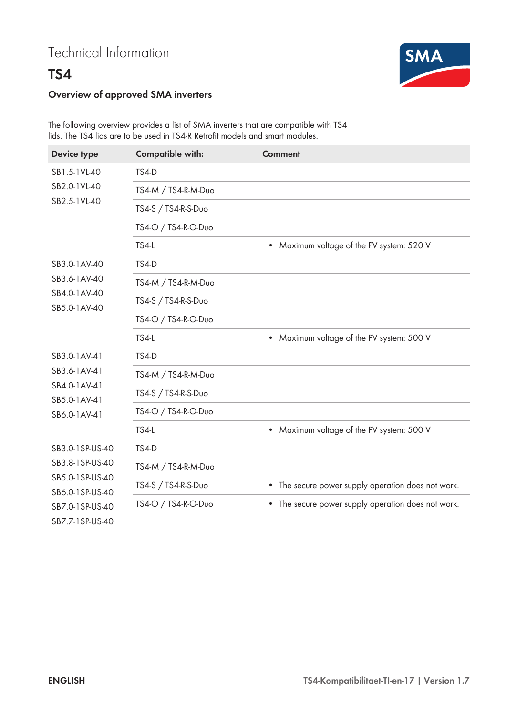## **TS4**



## **Overview of approved SMA inverters**

The following overview provides a list of SMA inverters that are compatible with TS4 lids. The TS4 lids are to be used in TS4-R Retrofit models and smart modules.

| <b>Device type</b>                                                                                             | <b>Compatible with:</b> | <b>Comment</b>                                       |
|----------------------------------------------------------------------------------------------------------------|-------------------------|------------------------------------------------------|
| SB1.5-1VL-40<br>SB2.0-1VL-40<br>SB2.5-1VL-40                                                                   | TS4-D                   |                                                      |
|                                                                                                                | TS4-M / TS4-R-M-Duo     |                                                      |
|                                                                                                                | TS4-S / TS4-R-S-Duo     |                                                      |
|                                                                                                                | TS4-O / TS4-R-O-Duo     |                                                      |
|                                                                                                                | TS4-L                   | Maximum voltage of the PV system: 520 V<br>$\bullet$ |
| SB3.0-1AV-40<br>SB3.6-1AV-40<br>SB4.0-1AV-40<br>SB5.0-1AV-40                                                   | <b>TS4-D</b>            |                                                      |
|                                                                                                                | TS4-M / TS4-R-M-Duo     |                                                      |
|                                                                                                                | TS4-S / TS4-R-S-Duo     |                                                      |
|                                                                                                                | TS4-O / TS4-R-O-Duo     |                                                      |
|                                                                                                                | TS4-L                   | Maximum voltage of the PV system: 500 V<br>$\bullet$ |
| SB3.0-1AV-41                                                                                                   | TS4-D                   |                                                      |
| SB3.6-1AV-41                                                                                                   | TS4-M / TS4-R-M-Duo     |                                                      |
| SB4.0-1AV-41<br>SB5.0-1AV-41<br>SB6.0-1AV-41                                                                   | TS4-S / TS4-R-S-Duo     |                                                      |
|                                                                                                                | TS4-O / TS4-R-O-Duo     |                                                      |
|                                                                                                                | TS4-L                   | Maximum voltage of the PV system: 500 V<br>$\bullet$ |
| SB3.0-1SP-US-40<br>SB3.8-1SP-US-40<br>SB5.0-1SP-US-40<br>SB6.0-1SP-US-40<br>SB7.0-1SP-US-40<br>SB7.7-1SP-US-40 | TS4-D                   |                                                      |
|                                                                                                                | TS4-M / TS4-R-M-Duo     |                                                      |
|                                                                                                                | TS4-S / TS4-R-S-Duo     | • The secure power supply operation does not work.   |
|                                                                                                                | TS4-O / TS4-R-O-Duo     | • The secure power supply operation does not work.   |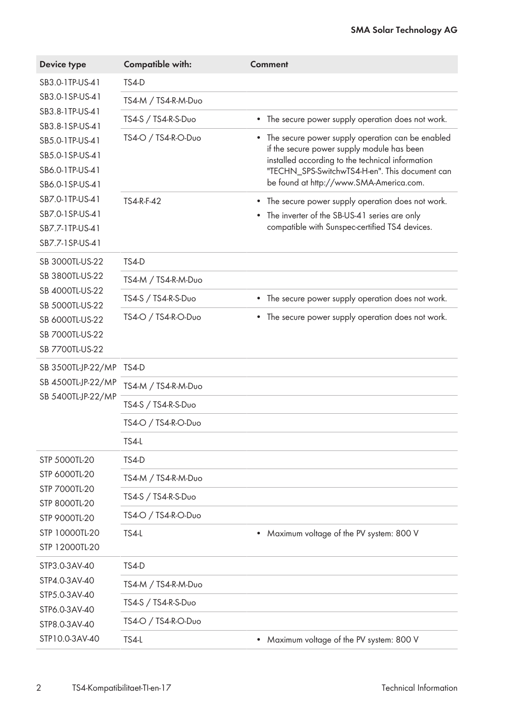| <b>Device type</b>                                                                                                                                   | <b>Compatible with:</b> | <b>Comment</b>                                                                                                                                                                                                                                               |
|------------------------------------------------------------------------------------------------------------------------------------------------------|-------------------------|--------------------------------------------------------------------------------------------------------------------------------------------------------------------------------------------------------------------------------------------------------------|
| SB3.0-1TP-US-41<br>SB3.0-1SP-US-41<br>SB3.8-1TP-US-41<br>SB3.8-1SP-US-41<br>SB5.0-1TP-US-41<br>SB5.0-1SP-US-41<br>SB6.0-1TP-US-41<br>SB6.0-1SP-US-41 | TS4-D                   |                                                                                                                                                                                                                                                              |
|                                                                                                                                                      | TS4-M / TS4-R-M-Duo     |                                                                                                                                                                                                                                                              |
|                                                                                                                                                      | TS4-S / TS4-R-S-Duo     | The secure power supply operation does not work.<br>$\bullet$                                                                                                                                                                                                |
|                                                                                                                                                      | TS4-O / TS4-R-O-Duo     | The secure power supply operation can be enabled<br>$\bullet$<br>if the secure power supply module has been<br>installed according to the technical information<br>"TECHN_SPS-SwitchwTS4-H-en". This document can<br>be found at http://www.SMA-America.com. |
| SB7.0-1TP-US-41                                                                                                                                      | TS4-R-F-42              | The secure power supply operation does not work.<br>$\bullet$                                                                                                                                                                                                |
| SB7.0-1SP-US-41<br>SB7.7-1TP-US-41<br>SB7.7-1SP-US-41                                                                                                |                         | The inverter of the SB-US-41 series are only<br>$\bullet$<br>compatible with Sunspec-certified TS4 devices.                                                                                                                                                  |
| SB 3000TL-US-22                                                                                                                                      | TS4-D                   |                                                                                                                                                                                                                                                              |
| SB 3800TL-US-22<br>SB 4000TL-US-22<br>SB 5000TL-US-22<br>SB 6000TL-US-22<br>SB 7000TL-US-22<br>SB 7700TL-US-22                                       | TS4-M / TS4-R-M-Duo     |                                                                                                                                                                                                                                                              |
|                                                                                                                                                      | TS4-S / TS4-R-S-Duo     | The secure power supply operation does not work.<br>$\bullet$                                                                                                                                                                                                |
|                                                                                                                                                      | TS4-O / TS4-R-O-Duo     | The secure power supply operation does not work.<br>٠                                                                                                                                                                                                        |
| SB 3500TL-JP-22/MP                                                                                                                                   | TS4-D                   |                                                                                                                                                                                                                                                              |
| SB 4500TL-JP-22/MP                                                                                                                                   | TS4-M / TS4-R-M-Duo     |                                                                                                                                                                                                                                                              |
| SB 5400TL-JP-22/MP                                                                                                                                   | TS4-S / TS4-R-S-Duo     |                                                                                                                                                                                                                                                              |
|                                                                                                                                                      | TS4-O / TS4-R-O-Duo     |                                                                                                                                                                                                                                                              |
|                                                                                                                                                      | <b>TS4-L</b>            |                                                                                                                                                                                                                                                              |
| STP 5000TL-20                                                                                                                                        | TS4-D                   |                                                                                                                                                                                                                                                              |
| STP 6000TL-20                                                                                                                                        | TS4-M / TS4-R-M-Duo     |                                                                                                                                                                                                                                                              |
| STP 7000TL-20<br>STP 8000TL-20                                                                                                                       | TS4-S / TS4-R-S-Duo     |                                                                                                                                                                                                                                                              |
| STP 9000TL-20                                                                                                                                        | TS4-O / TS4-R-O-Duo     |                                                                                                                                                                                                                                                              |
| STP 10000TL-20<br>STP 12000TL-20                                                                                                                     | TS4-L                   | Maximum voltage of the PV system: 800 V<br>$\bullet$                                                                                                                                                                                                         |
| STP3.0-3AV-40                                                                                                                                        | TS4-D                   |                                                                                                                                                                                                                                                              |
| STP4.0-3AV-40<br>STP5.0-3AV-40<br>STP6.0-3AV-40<br>STP8.0-3AV-40<br>STP10.0-3AV-40                                                                   | TS4-M / TS4-R-M-Duo     |                                                                                                                                                                                                                                                              |
|                                                                                                                                                      | TS4-S / TS4-R-S-Duo     |                                                                                                                                                                                                                                                              |
|                                                                                                                                                      | TS4-O / TS4-R-O-Duo     |                                                                                                                                                                                                                                                              |
|                                                                                                                                                      | TS4-L                   | Maximum voltage of the PV system: 800 V<br>$\bullet$                                                                                                                                                                                                         |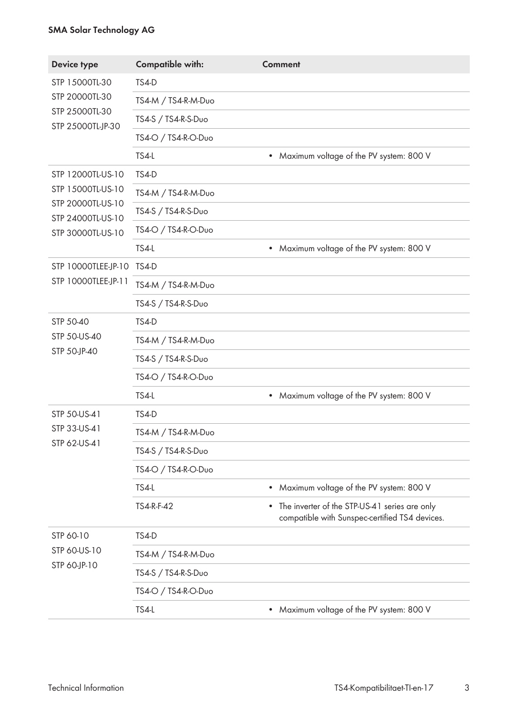## **SMA Solar Technology AG**

| <b>Device type</b>                                                      | <b>Compatible with:</b> | <b>Comment</b>                                                                                               |
|-------------------------------------------------------------------------|-------------------------|--------------------------------------------------------------------------------------------------------------|
| STP 15000TL-30<br>STP 20000TL-30<br>STP 25000TL-30<br>STP 25000TL-JP-30 | TS4-D                   |                                                                                                              |
|                                                                         | TS4-M / TS4-R-M-Duo     |                                                                                                              |
|                                                                         | TS4-S / TS4-R-S-Duo     |                                                                                                              |
|                                                                         | TS4-O / TS4-R-O-Duo     |                                                                                                              |
|                                                                         | TS4-L                   | Maximum voltage of the PV system: 800 V<br>$\bullet$                                                         |
| STP 12000TL-US-10<br>STP 15000TL-US-10                                  | TS4-D                   |                                                                                                              |
|                                                                         | TS4-M / TS4-R-M-Duo     |                                                                                                              |
| STP 20000TL-US-10<br>STP 24000TL-US-10                                  | TS4-S / TS4-R-S-Duo     |                                                                                                              |
| STP 30000TL-US-10                                                       | TS4-O / TS4-R-O-Duo     |                                                                                                              |
|                                                                         | TS4-L                   | Maximum voltage of the PV system: 800 V<br>٠                                                                 |
| STP 10000TLEE-JP-10                                                     | TS4-D                   |                                                                                                              |
| STP 10000TLEE-JP-11                                                     | TS4-M / TS4-R-M-Duo     |                                                                                                              |
|                                                                         | TS4-S / TS4-R-S-Duo     |                                                                                                              |
| STP 50-40                                                               | TS4-D                   |                                                                                                              |
| STP 50-US-40                                                            | TS4-M / TS4-R-M-Duo     |                                                                                                              |
| STP 50-JP-40                                                            | TS4-S / TS4-R-S-Duo     |                                                                                                              |
|                                                                         | TS4-O / TS4-R-O-Duo     |                                                                                                              |
|                                                                         | TS4-L                   | Maximum voltage of the PV system: 800 V<br>$\bullet$                                                         |
| STP 50-US-41                                                            | TS4-D                   |                                                                                                              |
| STP 33-US-41                                                            | TS4-M / TS4-R-M-Duo     |                                                                                                              |
| STP 62-US-41                                                            | TS4-S / TS4-R-S-Duo     |                                                                                                              |
|                                                                         | TS4-O / TS4-R-O-Duo     |                                                                                                              |
|                                                                         | TS4-L                   | Maximum voltage of the PV system: 800 V<br>$\bullet$                                                         |
|                                                                         | TS4-R-F-42              | The inverter of the STP-US-41 series are only<br>$\bullet$<br>compatible with Sunspec-certified TS4 devices. |
| STP 60-10                                                               | TS4-D                   |                                                                                                              |
| STP 60-US-10<br>STP 60-JP-10                                            | TS4-M / TS4-R-M-Duo     |                                                                                                              |
|                                                                         | TS4-S / TS4-R-S-Duo     |                                                                                                              |
|                                                                         | TS4-O / TS4-R-O-Duo     |                                                                                                              |
|                                                                         | TS4-L                   | Maximum voltage of the PV system: 800 V<br>$\bullet$                                                         |